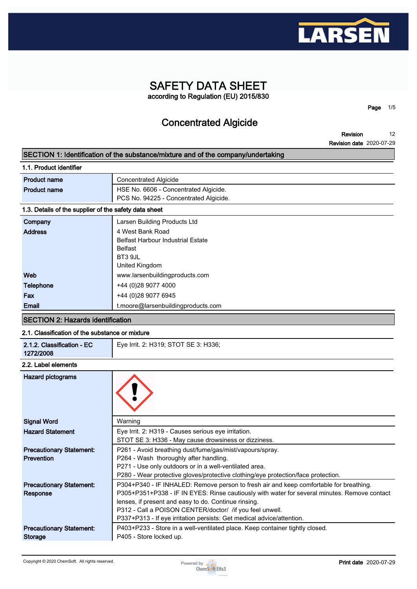

# **SAFETY DATA SHEET according to Regulation (EU) 2015/830**

**Page 1/5**

# **Concentrated Algicide**

**Revision Revision date 2020-07-29 12**

## **SECTION 1: Identification of the substance/mixture and of the company/undertaking**

| 1.1. Product identifier                               |                                          |  |
|-------------------------------------------------------|------------------------------------------|--|
| <b>Product name</b>                                   | <b>Concentrated Algicide</b>             |  |
| <b>Product name</b>                                   | HSE No. 6606 - Concentrated Algicide.    |  |
|                                                       | PCS No. 94225 - Concentrated Algicide.   |  |
| 1.3. Details of the supplier of the safety data sheet |                                          |  |
| Company                                               | Larsen Building Products Ltd             |  |
| <b>Address</b>                                        | 4 West Bank Road                         |  |
|                                                       | <b>Belfast Harbour Industrial Estate</b> |  |
|                                                       | <b>Belfast</b>                           |  |
|                                                       | BT3 9JL                                  |  |
|                                                       | United Kingdom                           |  |
| <b>Web</b>                                            | www.larsenbuildingproducts.com           |  |
| <b>Telephone</b>                                      | +44 (0)28 9077 4000                      |  |
| Fax                                                   | +44 (0)28 9077 6945                      |  |
| Email                                                 | t.moore@larsenbuildingproducts.com       |  |
|                                                       |                                          |  |

#### **SECTION 2: Hazards identification**

## **2.1. Classification of the substance or mixture**

| 2.1.2. Classification - EC<br>1272/2008 | Eye Irrit. 2: H319; STOT SE 3: H336; |
|-----------------------------------------|--------------------------------------|
|                                         |                                      |

#### **2.2. Label elements**

| Hazard pictograms               |                                                                                              |
|---------------------------------|----------------------------------------------------------------------------------------------|
| <b>Signal Word</b>              | Warning                                                                                      |
| <b>Hazard Statement</b>         | Eye Irrit. 2: H319 - Causes serious eye irritation.                                          |
|                                 | STOT SE 3: H336 - May cause drowsiness or dizziness.                                         |
| <b>Precautionary Statement:</b> | P261 - Avoid breathing dust/fume/gas/mist/vapours/spray.                                     |
| <b>Prevention</b>               | P264 - Wash thoroughly after handling.                                                       |
|                                 | P271 - Use only outdoors or in a well-ventilated area.                                       |
|                                 | P280 - Wear protective gloves/protective clothing/eye protection/face protection.            |
| <b>Precautionary Statement:</b> | P304+P340 - IF INHALED: Remove person to fresh air and keep comfortable for breathing.       |
| <b>Response</b>                 | P305+P351+P338 - IF IN EYES: Rinse cautiously with water for several minutes. Remove contact |
|                                 | lenses, if present and easy to do. Continue rinsing.                                         |
|                                 | P312 - Call a POISON CENTER/doctor/ /if you feel unwell.                                     |
|                                 | P337+P313 - If eye irritation persists: Get medical advice/attention.                        |
| <b>Precautionary Statement:</b> | P403+P233 - Store in a well-ventilated place. Keep container tightly closed.                 |
| <b>Storage</b>                  | P405 - Store locked up.                                                                      |

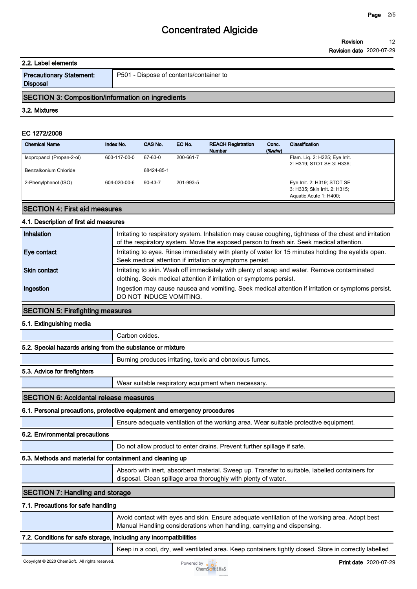# **2.2. Label elements Precautionary Statement: Disposal P501 - Dispose of contents/container to SECTION 3: Composition/information on ingredients 3.2. Mixtures**

#### **EC 1272/2008**

| <b>Chemical Name</b>      | Index No.    | CAS No.       | EC No.    | <b>REACH Registration</b><br><b>Number</b> | Conc.<br>$(\%w/w)$ | Classification                                                                         |
|---------------------------|--------------|---------------|-----------|--------------------------------------------|--------------------|----------------------------------------------------------------------------------------|
| Isopropanol (Propan-2-ol) | 603-117-00-0 | 67-63-0       | 200-661-7 |                                            |                    | Flam. Lig. 2: H225; Eye Irrit.<br>2: H319: STOT SE 3: H336:                            |
| Benzalkonium Chloride     |              | 68424-85-1    |           |                                            |                    |                                                                                        |
| 2-Phenylphenol (ISO)      | 604-020-00-6 | $90 - 43 - 7$ | 201-993-5 |                                            |                    | Eye Irrit. 2: H319; STOT SE<br>3: H335; Skin Irrit. 2: H315;<br>Aquatic Acute 1: H400; |

### **SECTION 4: First aid measures**

#### **4.1. Description of first aid measures**

| Inhalation          | Irritating to respiratory system. Inhalation may cause coughing, tightness of the chest and irritation<br>of the respiratory system. Move the exposed person to fresh air. Seek medical attention. |
|---------------------|----------------------------------------------------------------------------------------------------------------------------------------------------------------------------------------------------|
| Eye contact         | Irritating to eyes. Rinse immediately with plenty of water for 15 minutes holding the eyelids open.<br>Seek medical attention if irritation or symptoms persist.                                   |
| <b>Skin contact</b> | Irritating to skin. Wash off immediately with plenty of soap and water. Remove contaminated<br>clothing. Seek medical attention if irritation or symptoms persist.                                 |
| Ingestion           | Ingestion may cause nausea and vomiting. Seek medical attention if irritation or symptoms persist.<br>DO NOT INDUCE VOMITING.                                                                      |

#### **SECTION 5: Firefighting measures**

#### **5.1. Extinguishing media**

**Carbon oxides.**

## **5.2. Special hazards arising from the substance or mixture**

**Burning produces irritating, toxic and obnoxious fumes.**

## **5.3. Advice for firefighters**

**Wear suitable respiratory equipment when necessary.**

## **SECTION 6: Accidental release measures**

## **6.1. Personal precautions, protective equipment and emergency procedures**

**Ensure adequate ventilation of the working area. Wear suitable protective equipment.**

## **6.2. Environmental precautions**

**Do not allow product to enter drains. Prevent further spillage if safe.**

## **6.3. Methods and material for containment and cleaning up**

| Absorb with inert, absorbent material. Sweep up. Transfer to suitable, labelled containers for<br>disposal. Clean spillage area thoroughly with plenty of water. |
|------------------------------------------------------------------------------------------------------------------------------------------------------------------|
|                                                                                                                                                                  |
|                                                                                                                                                                  |

## **SECTION 7: Handling and storage**

## **7.1. Precautions for safe handling**

**Avoid contact with eyes and skin. Ensure adequate ventilation of the working area. Adopt best Manual Handling considerations when handling, carrying and dispensing.**

#### **7.2. Conditions for safe storage, including any incompatibilities**

**Keep in a cool, dry, well ventilated area. Keep containers tightly closed. Store in correctly labelled** 

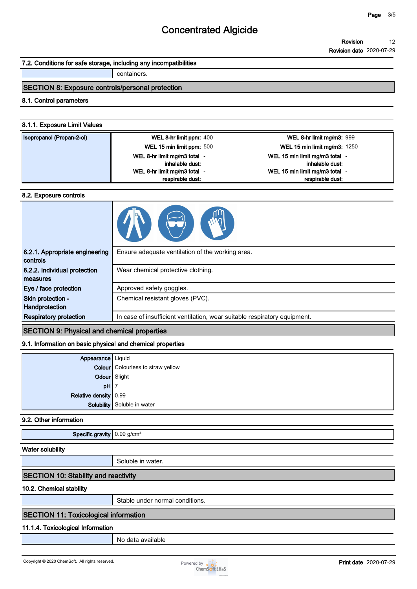# **Concentrated Algicide**

#### **7.2. Conditions for safe storage, including any incompatibilities**

**containers.**

## **SECTION 8: Exposure controls/personal protection**

#### **8.1. Control parameters**

## **8.1.1. Exposure Limit Values**

| Isopropanol (Propan-2-ol) | WEL 8-hr limit ppm: 400      | WEL 8-hr limit mg/m3: 999           |
|---------------------------|------------------------------|-------------------------------------|
|                           | WEL 15 min limit ppm: 500    | <b>WEL 15 min limit mg/m3: 1250</b> |
|                           | WEL 8-hr limit mg/m3 total - | WEL 15 min limit mg/m3 total -      |
|                           | inhalable dust:              | inhalable dust:                     |
|                           | WEL 8-hr limit mg/m3 total - | WEL 15 min limit mg/m3 total -      |
|                           | respirable dust:             | respirable dust:                    |

#### **8.2. Exposure controls**



| 8.2.1. Appropriate engineering<br>controls | Ensure adequate ventilation of the working area.                          |
|--------------------------------------------|---------------------------------------------------------------------------|
| 8.2.2. Individual protection               | Wear chemical protective clothing.                                        |
| measures                                   |                                                                           |
| Eye / face protection                      | Approved safety goggles.                                                  |
| Skin protection -                          | Chemical resistant gloves (PVC).                                          |
| Handprotection                             |                                                                           |
| <b>Respiratory protection</b>              | In case of insufficient ventilation, wear suitable respiratory equipment. |

**SECTION 9: Physical and chemical properties**

## **9.1. Information on basic physical and chemical properties**

| Appearance Liquid     |                                   |
|-----------------------|-----------------------------------|
|                       | Colour Colourless to straw yellow |
| Odour Slight          |                                   |
| $pH$ 7                |                                   |
| Relative density 0.99 |                                   |
|                       | Solubility Soluble in water       |

## **9.2. Other information**

**Specific gravity 0.99 g/cm³**

#### **Water solubility**

**Soluble in water.**

## **SECTION 10: Stability and reactivity**

## **10.2. Chemical stability**

**Stable under normal conditions.**

## **SECTION 11: Toxicological information**

#### **11.1.4. Toxicological Information**

**No data available**

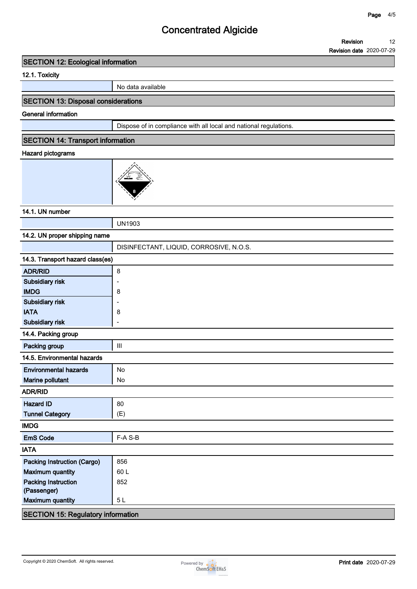#### **Revision 12**

**Revision date 2020-07-29**

## **SECTION 12: Ecological information**

**12.1. Toxicity**

**No data available**

## **SECTION 13: Disposal considerations**

**General information**

**Dispose of in compliance with all local and national regulations.**

## **SECTION 14: Transport information**

#### **Hazard pictograms**



## **14.1. UN number**

**UN1903**

### **14.2. UN proper shipping name**

|                                           | DISINFECTANT, LIQUID, CORROSIVE, N.O.S. |  |  |  |
|-------------------------------------------|-----------------------------------------|--|--|--|
| 14.3. Transport hazard class(es)          |                                         |  |  |  |
| <b>ADR/RID</b>                            | 8                                       |  |  |  |
| Subsidiary risk                           |                                         |  |  |  |
| <b>IMDG</b>                               | 8                                       |  |  |  |
| Subsidiary risk                           |                                         |  |  |  |
| <b>IATA</b>                               | 8                                       |  |  |  |
| Subsidiary risk                           |                                         |  |  |  |
| 14.4. Packing group                       |                                         |  |  |  |
| Packing group                             | $\ensuremath{\mathsf{III}}\xspace$      |  |  |  |
| 14.5. Environmental hazards               |                                         |  |  |  |
| <b>Environmental hazards</b>              | <b>No</b>                               |  |  |  |
| Marine pollutant                          | <b>No</b>                               |  |  |  |
| <b>ADR/RID</b>                            |                                         |  |  |  |
| <b>Hazard ID</b>                          | 80                                      |  |  |  |
| <b>Tunnel Category</b>                    | (E)                                     |  |  |  |
| <b>IMDG</b>                               |                                         |  |  |  |
| <b>EmS Code</b>                           | F-A S-B                                 |  |  |  |
| <b>IATA</b>                               |                                         |  |  |  |
| <b>Packing Instruction (Cargo)</b>        | 856                                     |  |  |  |
| <b>Maximum quantity</b>                   | 60L                                     |  |  |  |
| <b>Packing Instruction</b>                | 852                                     |  |  |  |
| (Passenger)                               |                                         |  |  |  |
| <b>Maximum quantity</b>                   | 5L                                      |  |  |  |
| <b>SECTION 15: Regulatory information</b> |                                         |  |  |  |